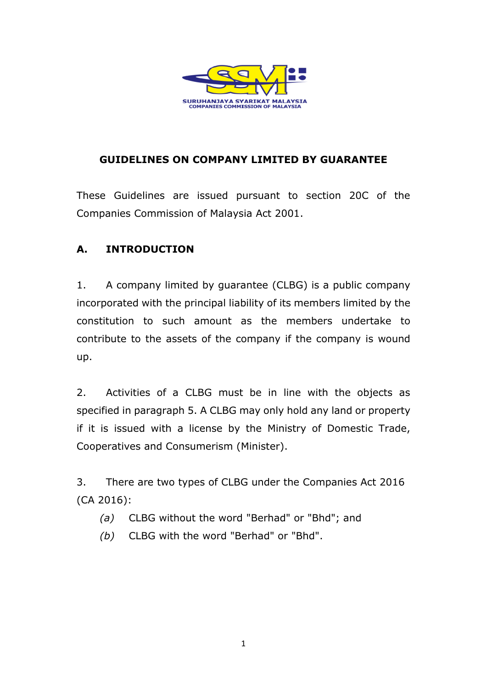

### **GUIDELINES ON COMPANY LIMITED BY GUARANTEE**

These Guidelines are issued pursuant to section 20C of the Companies Commission of Malaysia Act 2001.

## **A. INTRODUCTION**

1. A company limited by guarantee (CLBG) is a public company incorporated with the principal liability of its members limited by the constitution to such amount as the members undertake to contribute to the assets of the company if the company is wound up.

2. Activities of a CLBG must be in line with the objects as specified in paragraph 5. A CLBG may only hold any land or property if it is issued with a license by the Ministry of Domestic Trade, Cooperatives and Consumerism (Minister).

3. There are two types of CLBG under the Companies Act 2016 (CA 2016):

- *(a)* CLBG without the word "Berhad" or "Bhd"; and
- *(b)* CLBG with the word "Berhad" or "Bhd".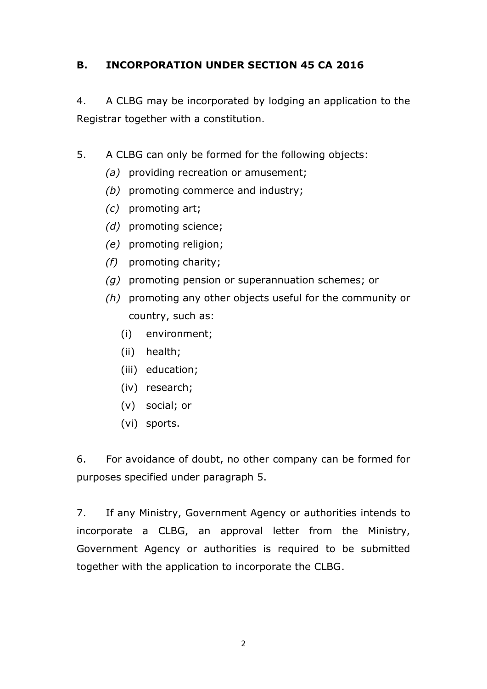## **B. INCORPORATION UNDER SECTION 45 CA 2016**

4. A CLBG may be incorporated by lodging an application to the Registrar together with a constitution.

- 5. A CLBG can only be formed for the following objects:
	- *(a)* providing recreation or amusement;
	- *(b)* promoting commerce and industry;
	- *(c)* promoting art;
	- *(d)* promoting science;
	- *(e)* promoting religion;
	- *(f)* promoting charity;
	- *(g)* promoting pension or superannuation schemes; or
	- *(h)* promoting any other objects useful for the community or country, such as:
		- (i) environment;
		- (ii) health;
		- (iii) education;
		- (iv) research;
		- (v) social; or
		- (vi) sports.

6. For avoidance of doubt, no other company can be formed for purposes specified under paragraph 5.

7. If any Ministry, Government Agency or authorities intends to incorporate a CLBG, an approval letter from the Ministry, Government Agency or authorities is required to be submitted together with the application to incorporate the CLBG.

2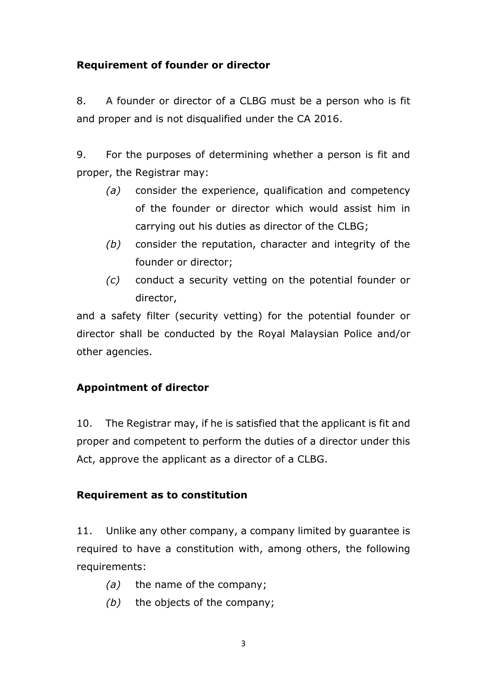### **Requirement of founder or director**

8. A founder or director of a CLBG must be a person who is fit and proper and is not disqualified under the CA 2016.

9. For the purposes of determining whether a person is fit and proper, the Registrar may:

- *(a)* consider the experience, qualification and competency of the founder or director which would assist him in carrying out his duties as director of the CLBG;
- *(b)* consider the reputation, character and integrity of the founder or director;
- *(c)* conduct a security vetting on the potential founder or director,

and a safety filter (security vetting) for the potential founder or director shall be conducted by the Royal Malaysian Police and/or other agencies.

## **Appointment of director**

10. The Registrar may, if he is satisfied that the applicant is fit and proper and competent to perform the duties of a director under this Act, approve the applicant as a director of a CLBG.

#### **Requirement as to constitution**

11. Unlike any other company, a company limited by guarantee is required to have a constitution with, among others, the following requirements:

- *(a)* the name of the company;
- *(b)* the objects of the company;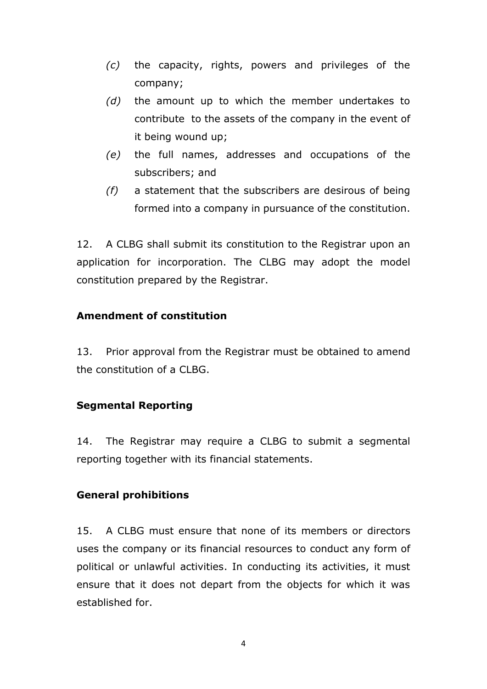- *(c)* the capacity, rights, powers and privileges of the company;
- *(d)* the amount up to which the member undertakes to contribute to the assets of the company in the event of it being wound up;
- *(e)* the full names, addresses and occupations of the subscribers; and
- *(f)* a statement that the subscribers are desirous of being formed into a company in pursuance of the constitution.

12. A CLBG shall submit its constitution to the Registrar upon an application for incorporation. The CLBG may adopt the model constitution prepared by the Registrar.

### **Amendment of constitution**

13. Prior approval from the Registrar must be obtained to amend the constitution of a CLBG.

#### **Segmental Reporting**

14. The Registrar may require a CLBG to submit a segmental reporting together with its financial statements.

#### **General prohibitions**

15. A CLBG must ensure that none of its members or directors uses the company or its financial resources to conduct any form of political or unlawful activities. In conducting its activities, it must ensure that it does not depart from the objects for which it was established for.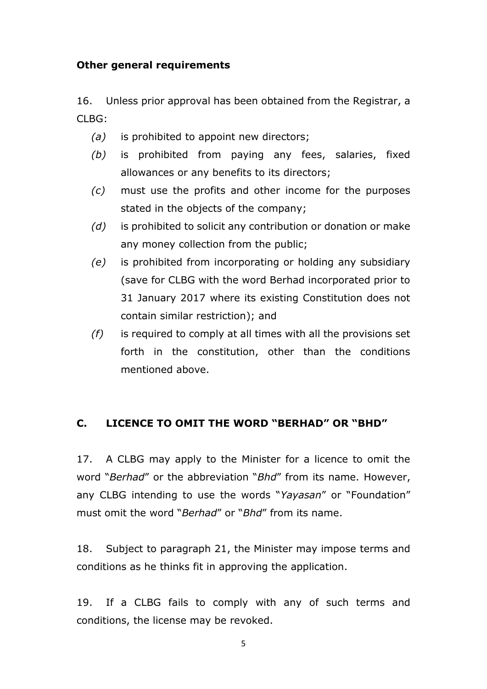#### **Other general requirements**

16. Unless prior approval has been obtained from the Registrar, a CLBG:

- *(a)* is prohibited to appoint new directors;
- *(b)* is prohibited from paying any fees, salaries, fixed allowances or any benefits to its directors;
- *(c)* must use the profits and other income for the purposes stated in the objects of the company;
- *(d)* is prohibited to solicit any contribution or donation or make any money collection from the public;
- *(e)* is prohibited from incorporating or holding any subsidiary (save for CLBG with the word Berhad incorporated prior to 31 January 2017 where its existing Constitution does not contain similar restriction); and
- *(f)* is required to comply at all times with all the provisions set forth in the constitution, other than the conditions mentioned above.

#### **C. LICENCE TO OMIT THE WORD "BERHAD" OR "BHD"**

17. A CLBG may apply to the Minister for a licence to omit the word "*Berhad*" or the abbreviation "*Bhd*" from its name. However, any CLBG intending to use the words "*Yayasan*" or "Foundation" must omit the word "*Berhad*" or "*Bhd*" from its name.

18. Subject to paragraph 21, the Minister may impose terms and conditions as he thinks fit in approving the application.

19. If a CLBG fails to comply with any of such terms and conditions, the license may be revoked.

5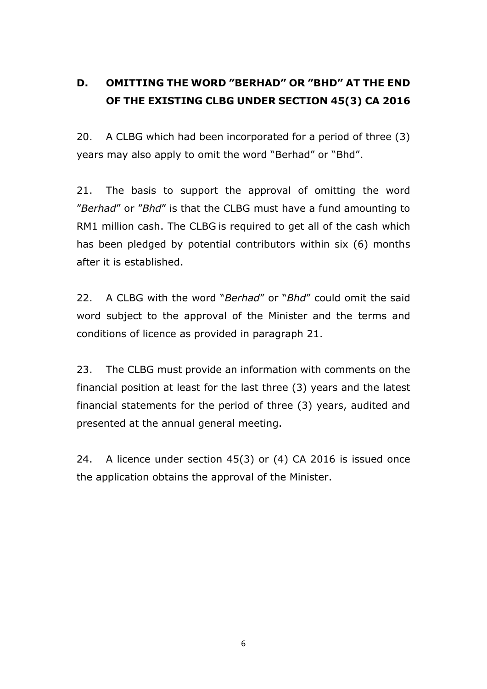## **D. OMITTING THE WORD "BERHAD" OR "BHD" AT THE END OF THE EXISTING CLBG UNDER SECTION 45(3) CA 2016**

20. A CLBG which had been incorporated for a period of three (3) years may also apply to omit the word "Berhad" or "Bhd".

21. The basis to support the approval of omitting the word "*Berhad*" or "*Bhd*" is that the CLBG must have a fund amounting to RM1 million cash. The CLBG is required to get all of the cash which has been pledged by potential contributors within six (6) months after it is established.

22. A CLBG with the word "*Berhad*" or "*Bhd*" could omit the said word subject to the approval of the Minister and the terms and conditions of licence as provided in paragraph 21.

23. The CLBG must provide an information with comments on the financial position at least for the last three (3) years and the latest financial statements for the period of three (3) years, audited and presented at the annual general meeting.

24. A licence under section 45(3) or (4) CA 2016 is issued once the application obtains the approval of the Minister.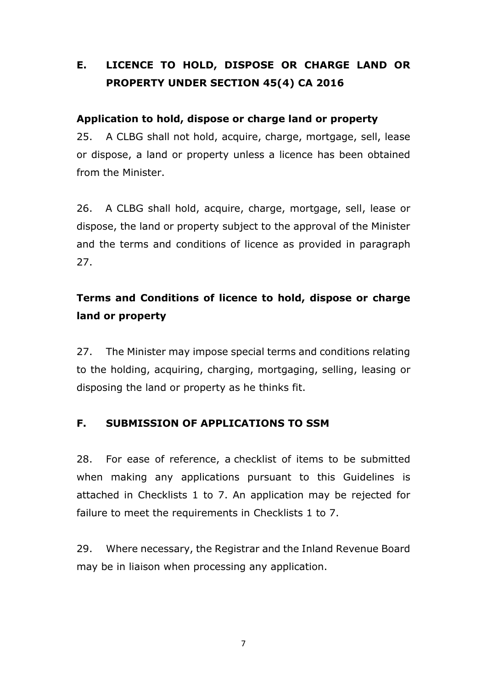## **E. LICENCE TO HOLD, DISPOSE OR CHARGE LAND OR PROPERTY UNDER SECTION 45(4) CA 2016**

#### **Application to hold, dispose or charge land or property**

25. A CLBG shall not hold, acquire, charge, mortgage, sell, lease or dispose, a land or property unless a licence has been obtained from the Minister.

26. A CLBG shall hold, acquire, charge, mortgage, sell, lease or dispose, the land or property subject to the approval of the Minister and the terms and conditions of licence as provided in paragraph 27.

## **Terms and Conditions of licence to hold, dispose or charge land or property**

27. The Minister may impose special terms and conditions relating to the holding, acquiring, charging, mortgaging, selling, leasing or disposing the land or property as he thinks fit.

## **F. SUBMISSION OF APPLICATIONS TO SSM**

28. For ease of reference, a checklist of items to be submitted when making any applications pursuant to this Guidelines is attached in Checklists 1 to 7. An application may be rejected for failure to meet the requirements in Checklists 1 to 7.

29. Where necessary, the Registrar and the Inland Revenue Board may be in liaison when processing any application.

7